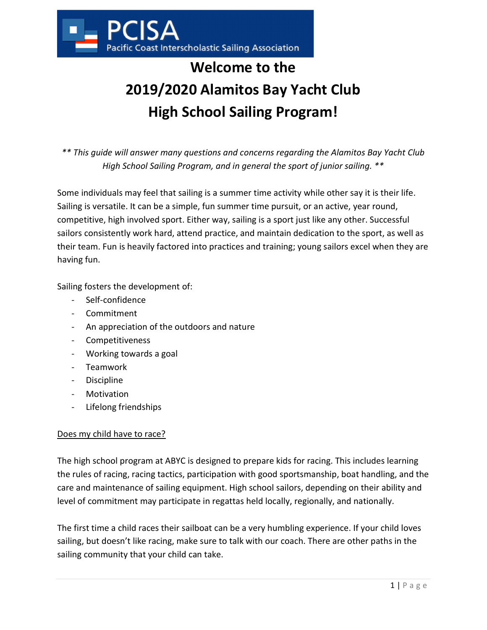

# Welcome to the 2019/2020 Alamitos Bay Yacht Club High School Sailing Program!

\*\* This guide will answer many questions and concerns regarding the Alamitos Bay Yacht Club High School Sailing Program, and in general the sport of junior sailing. \*\*

Some individuals may feel that sailing is a summer time activity while other say it is their life. Sailing is versatile. It can be a simple, fun summer time pursuit, or an active, year round, competitive, high involved sport. Either way, sailing is a sport just like any other. Successful sailors consistently work hard, attend practice, and maintain dedication to the sport, as well as their team. Fun is heavily factored into practices and training; young sailors excel when they are having fun.

Sailing fosters the development of:

- Self-confidence
- Commitment
- An appreciation of the outdoors and nature
- Competitiveness
- Working towards a goal
- Teamwork
- Discipline
- Motivation
- Lifelong friendships

#### Does my child have to race?

The high school program at ABYC is designed to prepare kids for racing. This includes learning the rules of racing, racing tactics, participation with good sportsmanship, boat handling, and the care and maintenance of sailing equipment. High school sailors, depending on their ability and level of commitment may participate in regattas held locally, regionally, and nationally.

The first time a child races their sailboat can be a very humbling experience. If your child loves sailing, but doesn't like racing, make sure to talk with our coach. There are other paths in the sailing community that your child can take.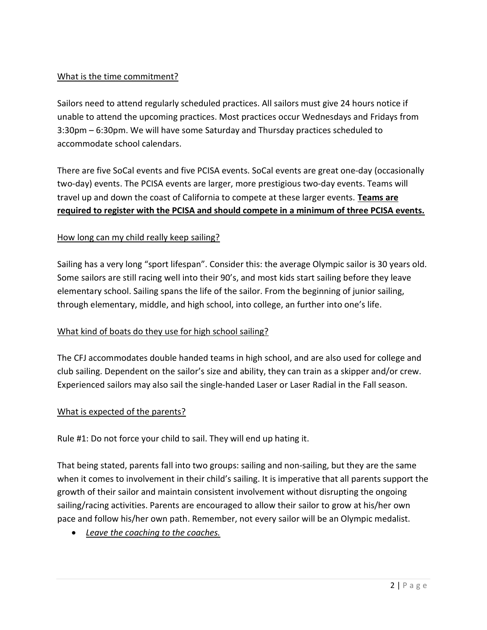#### What is the time commitment?

Sailors need to attend regularly scheduled practices. All sailors must give 24 hours notice if unable to attend the upcoming practices. Most practices occur Wednesdays and Fridays from 3:30pm – 6:30pm. We will have some Saturday and Thursday practices scheduled to accommodate school calendars.

There are five SoCal events and five PCISA events. SoCal events are great one-day (occasionally two-day) events. The PCISA events are larger, more prestigious two-day events. Teams will travel up and down the coast of California to compete at these larger events. Teams are required to register with the PCISA and should compete in a minimum of three PCISA events.

#### How long can my child really keep sailing?

Sailing has a very long "sport lifespan". Consider this: the average Olympic sailor is 30 years old. Some sailors are still racing well into their 90's, and most kids start sailing before they leave elementary school. Sailing spans the life of the sailor. From the beginning of junior sailing, through elementary, middle, and high school, into college, an further into one's life.

#### What kind of boats do they use for high school sailing?

The CFJ accommodates double handed teams in high school, and are also used for college and club sailing. Dependent on the sailor's size and ability, they can train as a skipper and/or crew. Experienced sailors may also sail the single-handed Laser or Laser Radial in the Fall season.

#### What is expected of the parents?

Rule #1: Do not force your child to sail. They will end up hating it.

That being stated, parents fall into two groups: sailing and non-sailing, but they are the same when it comes to involvement in their child's sailing. It is imperative that all parents support the growth of their sailor and maintain consistent involvement without disrupting the ongoing sailing/racing activities. Parents are encouraged to allow their sailor to grow at his/her own pace and follow his/her own path. Remember, not every sailor will be an Olympic medalist.

• Leave the coaching to the coaches.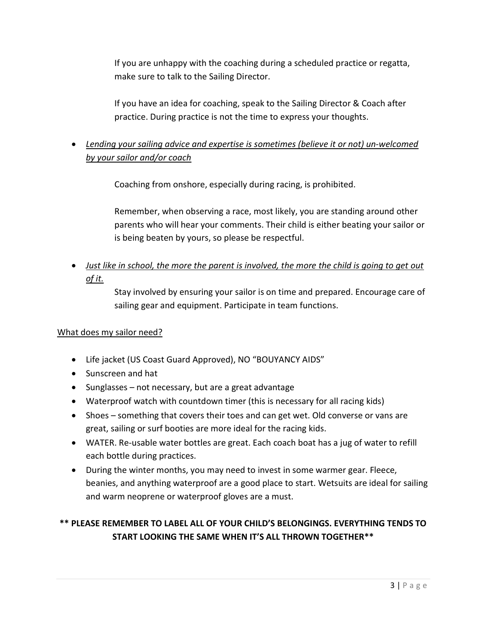If you are unhappy with the coaching during a scheduled practice or regatta, make sure to talk to the Sailing Director.

If you have an idea for coaching, speak to the Sailing Director & Coach after practice. During practice is not the time to express your thoughts.

# Lending your sailing advice and expertise is sometimes (believe it or not) un-welcomed by your sailor and/or coach

Coaching from onshore, especially during racing, is prohibited.

Remember, when observing a race, most likely, you are standing around other parents who will hear your comments. Their child is either beating your sailor or is being beaten by yours, so please be respectful.

## Just like in school, the more the parent is involved, the more the child is going to get out of it.

Stay involved by ensuring your sailor is on time and prepared. Encourage care of sailing gear and equipment. Participate in team functions.

#### What does my sailor need?

- Life jacket (US Coast Guard Approved), NO "BOUYANCY AIDS"
- Sunscreen and hat
- Sunglasses not necessary, but are a great advantage
- Waterproof watch with countdown timer (this is necessary for all racing kids)
- Shoes something that covers their toes and can get wet. Old converse or vans are great, sailing or surf booties are more ideal for the racing kids.
- WATER. Re-usable water bottles are great. Each coach boat has a jug of water to refill each bottle during practices.
- During the winter months, you may need to invest in some warmer gear. Fleece, beanies, and anything waterproof are a good place to start. Wetsuits are ideal for sailing and warm neoprene or waterproof gloves are a must.

### \*\* PLEASE REMEMBER TO LABEL ALL OF YOUR CHILD'S BELONGINGS. EVERYTHING TENDS TO START LOOKING THE SAME WHEN IT'S ALL THROWN TOGETHER\*\*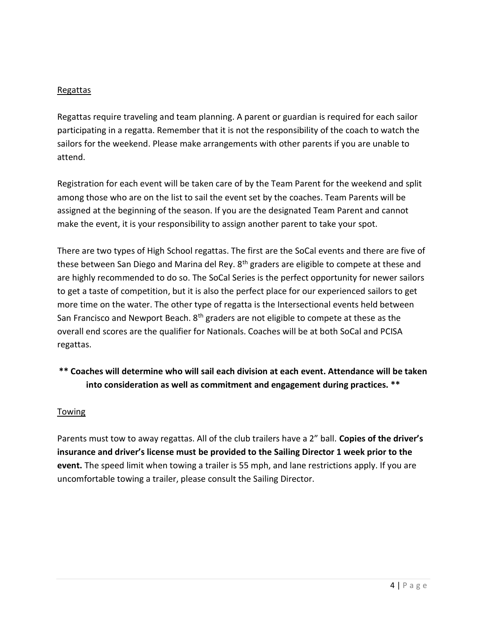#### Regattas

Regattas require traveling and team planning. A parent or guardian is required for each sailor participating in a regatta. Remember that it is not the responsibility of the coach to watch the sailors for the weekend. Please make arrangements with other parents if you are unable to attend.

Registration for each event will be taken care of by the Team Parent for the weekend and split among those who are on the list to sail the event set by the coaches. Team Parents will be assigned at the beginning of the season. If you are the designated Team Parent and cannot make the event, it is your responsibility to assign another parent to take your spot.

There are two types of High School regattas. The first are the SoCal events and there are five of these between San Diego and Marina del Rey. 8<sup>th</sup> graders are eligible to compete at these and are highly recommended to do so. The SoCal Series is the perfect opportunity for newer sailors to get a taste of competition, but it is also the perfect place for our experienced sailors to get more time on the water. The other type of regatta is the Intersectional events held between San Francisco and Newport Beach. 8<sup>th</sup> graders are not eligible to compete at these as the overall end scores are the qualifier for Nationals. Coaches will be at both SoCal and PCISA regattas.

### \*\* Coaches will determine who will sail each division at each event. Attendance will be taken into consideration as well as commitment and engagement during practices. \*\*

#### Towing

Parents must tow to away regattas. All of the club trailers have a 2" ball. Copies of the driver's insurance and driver's license must be provided to the Sailing Director 1 week prior to the event. The speed limit when towing a trailer is 55 mph, and lane restrictions apply. If you are uncomfortable towing a trailer, please consult the Sailing Director.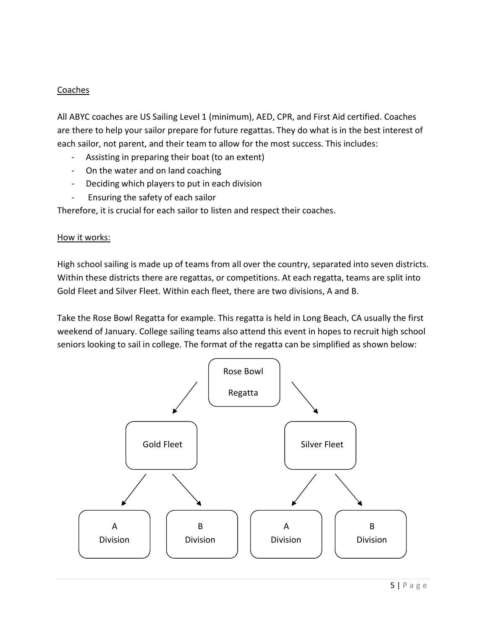#### **Coaches**

All ABYC coaches are US Sailing Level 1 (minimum), AED, CPR, and First Aid certified. Coaches are there to help your sailor prepare for future regattas. They do what is in the best interest of each sailor, not parent, and their team to allow for the most success. This includes:

- Assisting in preparing their boat (to an extent)
- On the water and on land coaching
- Deciding which players to put in each division
- Ensuring the safety of each sailor

Therefore, it is crucial for each sailor to listen and respect their coaches.

#### How it works:

High school sailing is made up of teams from all over the country, separated into seven districts. Within these districts there are regattas, or competitions. At each regatta, teams are split into Gold Fleet and Silver Fleet. Within each fleet, there are two divisions, A and B.

Take the Rose Bowl Regatta for example. This regatta is held in Long Beach, CA usually the first weekend of January. College sailing teams also attend this event in hopes to recruit high school seniors looking to sail in college. The format of the regatta can be simplified as shown below:

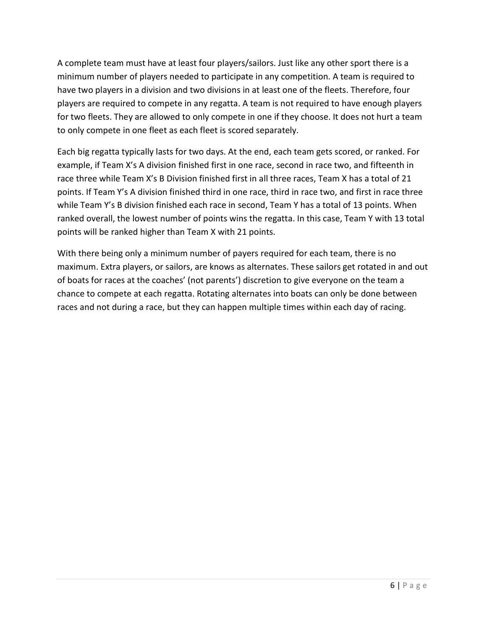A complete team must have at least four players/sailors. Just like any other sport there is a minimum number of players needed to participate in any competition. A team is required to have two players in a division and two divisions in at least one of the fleets. Therefore, four players are required to compete in any regatta. A team is not required to have enough players for two fleets. They are allowed to only compete in one if they choose. It does not hurt a team to only compete in one fleet as each fleet is scored separately.

Each big regatta typically lasts for two days. At the end, each team gets scored, or ranked. For example, if Team X's A division finished first in one race, second in race two, and fifteenth in race three while Team X's B Division finished first in all three races, Team X has a total of 21 points. If Team Y's A division finished third in one race, third in race two, and first in race three while Team Y's B division finished each race in second, Team Y has a total of 13 points. When ranked overall, the lowest number of points wins the regatta. In this case, Team Y with 13 total points will be ranked higher than Team X with 21 points.

With there being only a minimum number of payers required for each team, there is no maximum. Extra players, or sailors, are knows as alternates. These sailors get rotated in and out of boats for races at the coaches' (not parents') discretion to give everyone on the team a chance to compete at each regatta. Rotating alternates into boats can only be done between races and not during a race, but they can happen multiple times within each day of racing.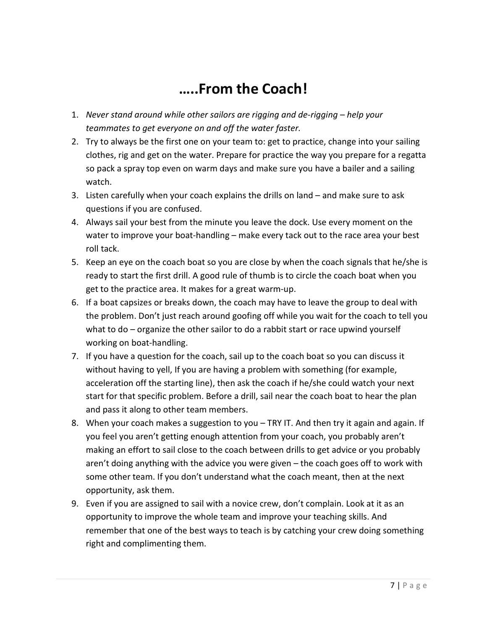# …..From the Coach!

- 1. Never stand around while other sailors are rigging and de-rigging help your teammates to get everyone on and off the water faster.
- 2. Try to always be the first one on your team to: get to practice, change into your sailing clothes, rig and get on the water. Prepare for practice the way you prepare for a regatta so pack a spray top even on warm days and make sure you have a bailer and a sailing watch.
- 3. Listen carefully when your coach explains the drills on land and make sure to ask questions if you are confused.
- 4. Always sail your best from the minute you leave the dock. Use every moment on the water to improve your boat-handling – make every tack out to the race area your best roll tack.
- 5. Keep an eye on the coach boat so you are close by when the coach signals that he/she is ready to start the first drill. A good rule of thumb is to circle the coach boat when you get to the practice area. It makes for a great warm-up.
- 6. If a boat capsizes or breaks down, the coach may have to leave the group to deal with the problem. Don't just reach around goofing off while you wait for the coach to tell you what to do – organize the other sailor to do a rabbit start or race upwind yourself working on boat-handling.
- 7. If you have a question for the coach, sail up to the coach boat so you can discuss it without having to yell, If you are having a problem with something (for example, acceleration off the starting line), then ask the coach if he/she could watch your next start for that specific problem. Before a drill, sail near the coach boat to hear the plan and pass it along to other team members.
- 8. When your coach makes a suggestion to you TRY IT. And then try it again and again. If you feel you aren't getting enough attention from your coach, you probably aren't making an effort to sail close to the coach between drills to get advice or you probably aren't doing anything with the advice you were given – the coach goes off to work with some other team. If you don't understand what the coach meant, then at the next opportunity, ask them.
- 9. Even if you are assigned to sail with a novice crew, don't complain. Look at it as an opportunity to improve the whole team and improve your teaching skills. And remember that one of the best ways to teach is by catching your crew doing something right and complimenting them.